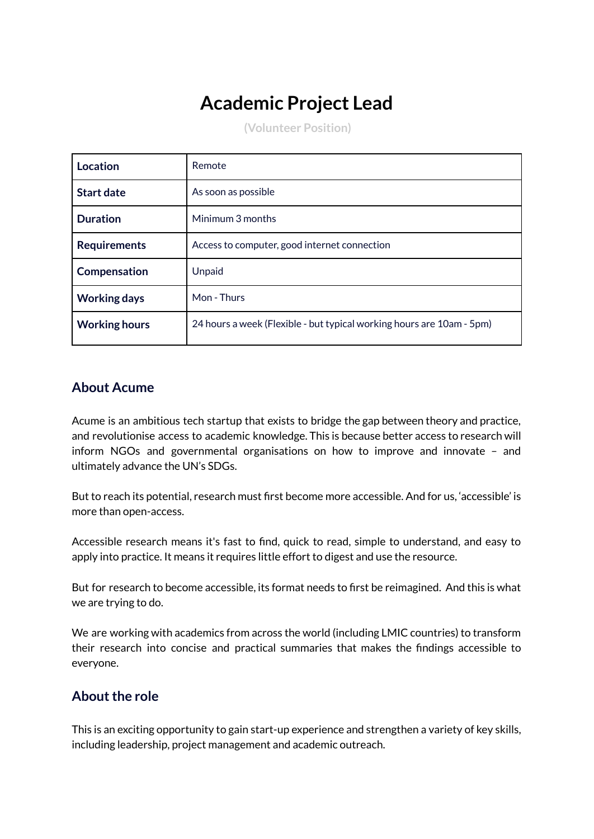# **Academic Project Lead**

**(Volunteer Position)**

| Location             | Remote                                                                |
|----------------------|-----------------------------------------------------------------------|
| <b>Start date</b>    | As soon as possible                                                   |
| <b>Duration</b>      | Minimum 3 months                                                      |
| <b>Requirements</b>  | Access to computer, good internet connection                          |
| Compensation         | Unpaid                                                                |
| <b>Working days</b>  | Mon - Thurs                                                           |
| <b>Working hours</b> | 24 hours a week (Flexible - but typical working hours are 10am - 5pm) |

### **About Acume**

Acume is an ambitious tech startup that exists to bridge the gap between theory and practice, and revolutionise access to academic knowledge. This is because better access to research will inform NGOs and governmental organisations on how to improve and innovate – and ultimately advance the UN's SDGs.

But to reach its potential, research must first become more accessible. And for us, 'accessible' is more than open-access.

Accessible research means it's fast to find, quick to read, simple to understand, and easy to apply into practice. It means it requires little effort to digest and use the resource.

But for research to become accessible, its format needs to first be reimagined. And this is what we are trying to do.

We are working with academics from across the world (including LMIC countries) to transform their research into concise and practical summaries that makes the findings accessible to everyone.

# **About the role**

This is an exciting opportunity to gain start-up experience and strengthen a variety of key skills, including leadership, project management and academic outreach.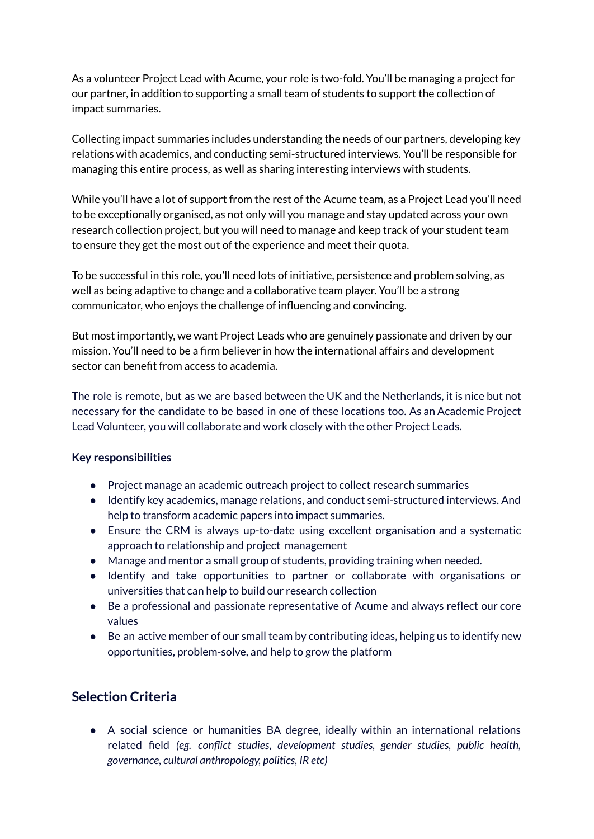As a volunteer Project Lead with Acume, your role is two-fold. You'll be managing a project for our partner, in addition to supporting a small team of students to support the collection of impact summaries.

Collecting impact summaries includes understanding the needs of our partners, developing key relations with academics, and conducting semi-structured interviews. You'll be responsible for managing this entire process, as well as sharing interesting interviews with students.

While you'll have a lot of support from the rest of the Acume team, as a Project Lead you'll need to be exceptionally organised, as not only will you manage and stay updated across your own research collection project, but you will need to manage and keep track of your student team to ensure they get the most out of the experience and meet their quota.

To be successful in this role, you'll need lots of initiative, persistence and problem solving, as well as being adaptive to change and a collaborative team player. You'll be a strong communicator, who enjoys the challenge of influencing and convincing.

But most importantly, we want Project Leads who are genuinely passionate and driven by our mission. You'll need to be a firm believer in how the international affairs and development sector can benefit from access to academia.

The role is remote, but as we are based between the UK and the Netherlands, it is nice but not necessary for the candidate to be based in one of these locations too. As an Academic Project Lead Volunteer, you will collaborate and work closely with the other Project Leads.

#### **Key responsibilities**

- Project manage an academic outreach project to collect research summaries
- Identify key academics, manage relations, and conduct semi-structured interviews. And help to transform academic papers into impact summaries.
- Ensure the CRM is always up-to-date using excellent organisation and a systematic approach to relationship and project management
- Manage and mentor a small group of students, providing training when needed.
- Identify and take opportunities to partner or collaborate with organisations or universities that can help to build our research collection
- Be a professional and passionate representative of Acume and always reflect our core values
- Be an active member of our small team by contributing ideas, helping us to identify new opportunities, problem-solve, and help to grow the platform

# **Selection Criteria**

• A social science or humanities BA degree, ideally within an international relations related field *(eg. conflict studies, development studies, gender studies, public health, governance, cultural anthropology, politics, IR etc)*